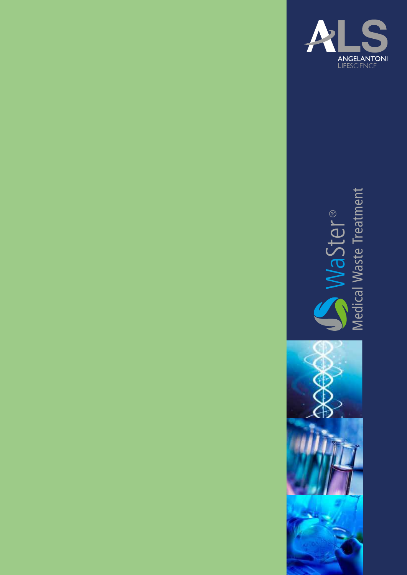

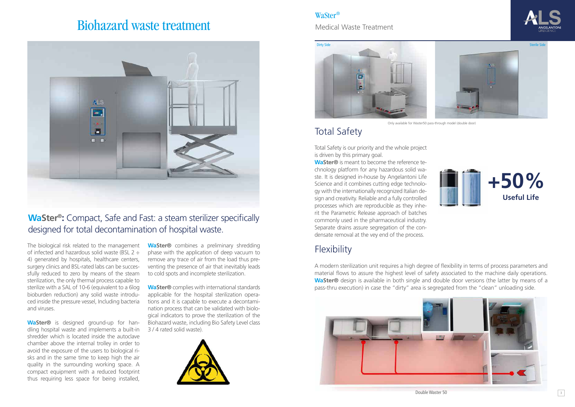# Biohazard waste treatment



The biological risk related to the management of infected and hazardous solid waste (BSL 2 ÷ 4) generated by hospitals, healthcare centers, surgery clinics and BSL-rated labs can be successfully reduced to zero by means of the steam sterilization, the only thermal process capable to sterilize with a SAL of 10-6 (equivalent to a 6log bioburden reduction) any solid waste introduced inside the pressure vessel, Including bacteria and viruses.

**WaSter®** is designed ground-up for handling hospital waste and implements a built-in shredder which is located inside the autoclave chamber above the internal trolley in order to avoid the exposure of the users to biological risks and in the same time to keep high the air quality in the surrounding working space. A compact equipment with a reduced footprint thus requiring less space for being installed,

**WaSter®** combines a preliminary shredding phase with the application of deep vacuum to remove any trace of air from the load thus preventing the presence of air that inevitably leads to cold spots and incomplete sterilization.

**WaSter®** complies with international standards applicable for the hospital sterilization operations and it is capable to execute a decontamination process that can be validated with biological indicators to prove the sterilization of the Biohazard waste, including Bio Safety Level class 3 / 4 rated solid waste).



## **WaSter®:** Compact, Safe and Fast: a steam sterilizer specifically designed for total decontamination of hospital waste.

Total Safety is our priority and the whole project is driven by this primary goal.

**WaSter®** is meant to become the reference technology platform for any hazardous solid waste. It is designed in-house by Angelantoni Life Science and it combines cutting edge technology with the internationally recognized Italian design and creativity. Reliable and a fully controlled processes which are reproducible as they inherit the Parametric Release approach of batches commonly used in the pharmaceutical industry. Separate drains assure segregation of the condensate removal at the vey end of the process.

## **Flexibility**

## Total Safety



A modern sterilization unit requires a high degree of flexibility in terms of process parameters and material flows to assure the highest level of safety associated to the machine daily operations. **WaSter®** design is available in both single and double door versions (the latter by means of a pass-thru execution) in case the "dirty" area is segregated from the "clean" unloading side.



#### WaSter®

Medical Waste Treatment

Double Waster 50







Only available for Waster50 pass-through model (double door)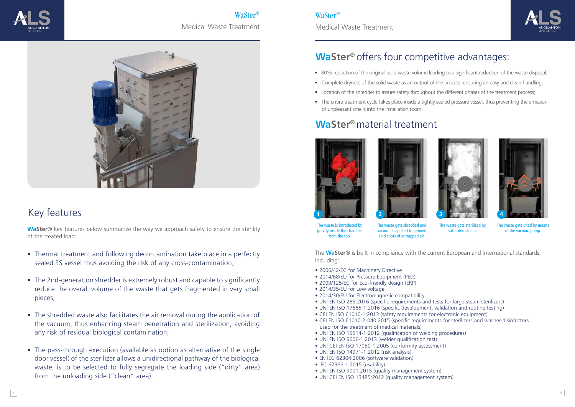WaSter® Medical Waste Treatment



### WaSter®

Medical Waste Treatment

## **WaSter<sup>®</sup>** offers four competitive advantages:

**WaSter**® key features below summarize the way we approach safety to ensure the sterility of the treated load:

# Key features

- Thermal treatment and following decontamination take place in a perfectly sealed SS vessel thus avoiding the risk of any cross-contamination;
- The 2nd-generation shredder is extremely robust and capable to significantly reduce the overall volume of the waste that gets fragmented in very small pieces;
- The shredded waste also facilitates the air removal during the application of the vacuum, thus enhancing steam penetration and sterilization, avoiding any risk of residual biological contamination;
- The pass-through execution (available as option as alternative of the single door vessel) of the sterilizer allows a unidirectional pathway of the biological waste, is to be selected to fully segregate the loading side ("dirty" area) from the unloading side ("clean" area).



The waste gets sterilized by saturated steam



The waste gets dried by means of the vacuum pump.

- 80% reduction of the original solid waste volume leading to a significant reduction of the waste disposal;
- Complete dryness of the solid waste as an output of the process, ensuring an easy and clean handling;
- Location of the shredder to assure safety throughout the different phases of the treatment process;
- The entire treatment cycle takes place inside a tightly sealed pressure vessel, thus preventing the emission of unpleasant smells into the installation room.

- 2006/42/EC for Machinery Directive
- 2014/68/EU for Pressure Equipment (PED)
- 2009/125/EC for Eco-friendly design (ERP)
- 2014/35/EU for Low voltage
- 2014/30/EU for Electromagnetic compatibility
- UNI EN ISO 285:2016 (specific requirements and tests for large steam sterilizers)
- UNI EN ISO 17665-1:2016 (specific development, validation and routine testing)
- CEI EN ISO 61010-1:2013 (safety requirements for electronic equipment)
- CEI EN ISO 61010-2-040:2015 (specific requirements for sterilizers and washer-disinfectors used for the treatment of medical materials)
- UNI EN ISO 15614-1:2012 (qualification of welding procedures)
- UNI EN ISO 9606-1:2013 (welder qualification test)
- UNI CEI EN ISO 17050-1:2005 (conformity assessment)
- UNI EN ISO 14971-1:2012 (risk analysis)
- EN IEC 62304:2006 (software validation)
- IEC 62366-1:2015 (usability)
- UNI EN ISO 9001:2015 (quality management system)
- UNI CEI EN ISO 13485:2012 (quality management system)

 $\frac{4}{3}$ 



The waste is introduced by gravity inside the chamber from the top.

The waste gets shredded and vacuum is applied to remove cold spots of entrapped air.

## **WaSter®** material treatment





The **WaSter**® is built in compliance with the current European and international standards, including: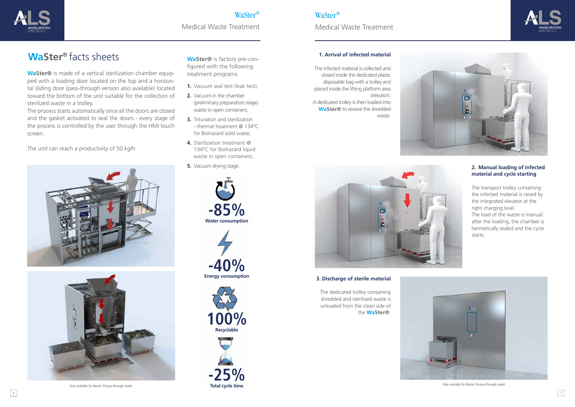**WaSter®** is made of a vertical sterilization chamber equipped with a loading door located on the top and a horizontal sliding door (pass-through version also available) located toward the bottom of the unit suitable for the collection of sterilized waste in a trolley.

- **1.** Vacuum seal test (leak test);
- **2.** Vacuum in the chamber (preliminary preparation stage) waste in open containers;
- **3.** Trituration and sterilization - thermal treatment @ 134°C for Biohazard solid waste;
- **4.** Sterilization treatment @ 134°C for Biohazard liquid waste in open containers;
- **5.** Vacuum drying stage.

The process starts automatically once all the doors are closed and the gasket activated to seal the doors - every stage of the process is controlled by the user through the HMI touch screen.

The unit can reach a productivity of 50 kg/h.







### WaSter®

Medical Waste Treatment

## **WaSter<sup>®</sup>** facts sheets

### WaSter®

Medical Waste Treatment

**WaSter®** is factory pre-configured with the following treatment programs

#### **1. Arrival of infected material**

The infected material is collected and closed inside the dedicated plastic disposable bag with a trolley and placed inside the lifting platform area (elevator). A dedicated trolley is then loaded into **WaSter®** to receive the shredded waste.





#### **3. Discharge of sterile material**



The dedicated trolley containing shredded and sterilized waste is unloaded from the clean side of the **WaSter®**.







#### **2. Manual loading of infected material and cycle starting**

The transport trolley containing the infected material is raised by the integrated elevator at the right charging level.

The load of the waste is manual: after the loading, the chamber is hermetically sealed and the cycle starts.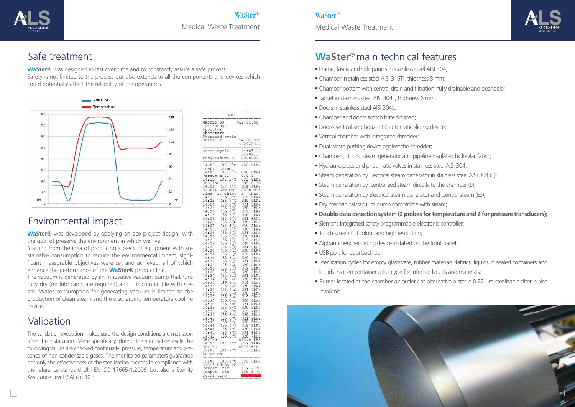



**WaSter®** was designed to last over time and to constantly assure a safe process. Safety is not limited to the process but also extends to all the components and devices which could potentially affect the reliability of the operations.



## Safe treatment



WaSter®

Medical Waste Treatment

#### WaSter®

Medical Waste Treatment

## **WaSter**<sup>®</sup> main technical features

**WaSter®** was developed by applying an eco-project design, with the goal of preserve the environment in which we live.

The validation execution makes sure the design conditions are met soon after the installation. More specifically, during the sterilisation cycle the following values are checked continually: pressure, temperature and presence of non-condensable gases. The monitored parameters guarantee not only the effectiveness of the sterilization process in compliance with the reference standard UNI EN ISO 17665-1:2006, but also a Sterility Assurance Level (SAL) of 10<sup>-6</sup>.

| AIC                                                                                                |                              |
|----------------------------------------------------------------------------------------------------|------------------------------|
|                                                                                                    |                              |
| WASTER.50                                                                                          | Rel.01.00                    |
| ID-LS00000                                                                                         |                              |
| Operator:                                                                                          |                              |
| Operatore l                                                                                        |                              |
| Standard cycle                                                                                     |                              |
| Steriliz.                                                                                          | $T = 135.0 °C$               |
|                                                                                                    | t=0020min                    |
|                                                                                                    |                              |
| cycle<br>Start                                                                                     | 14:05:1                      |
|                                                                                                    | 22/09/17                     |
| Progressive<br>n.                                                                                  | 00000028                     |
| $= 100 - 100$                                                                                      | ---------                    |
| 14:05<br>103.<br>б                                                                                 | 100.0kPa                     |
| CONDIT<br>IONING                                                                                   |                              |
| 103.<br>14:05                                                                                      | 090.6kPa                     |
| Vacuum<br>N.01                                                                                     | 030.0                        |
| 14:12<br>102.2                                                                                     | 022.6kPa                     |
| HEATING                                                                                            | 135.0 °C                     |
| $135.6^{\circ}$ C<br>14:22                                                                         | 319.2kPa                     |
| STERILIZATION                                                                                      | 0020 min                     |
|                                                                                                    |                              |
| Time<br>T. Cham                                                                                    | P. Cham.                     |
| 14:2<br>135.6                                                                                      | 319.8kPa                     |
| 14:23<br>135.<br>°C<br>ì<br>o,                                                                     | 320.9kPa                     |
| 135.<br>7<br>14:24                                                                                 | 321.6kPa                     |
| 135.<br>14:24<br>7                                                                                 | 320.3kPa                     |
| 135.<br>14:25<br>б                                                                                 | 319.<br>1.kPa                |
| ¢<br>135.<br>6<br>14:25                                                                            | 320.2kPa                     |
| ۰<br>14:26<br>135.<br>6                                                                            | 321.8kPa                     |
| $\circ$<br>135.6<br>14:26                                                                          | 320.<br>7kPa                 |
| $\overline{c}$<br>14:27<br>135.<br>5                                                               | 319.9kPa                     |
| 135.<br>6<br>14:2<br>7                                                                             | 320.5kPa                     |
| ó<br>135.<br>14:28<br>6                                                                            | 321.1kPa                     |
| ä<br>135.6<br>14:28                                                                                | 320.<br>9kPa                 |
| $\epsilon^{\zeta}$<br>$\overline{7}$<br>135.<br>14:29                                              | 319.2kPa                     |
| $_{\rm e}$ C<br>135.<br>14:29<br>6                                                                 | 320.8kPa                     |
| °,<br>135.                                                                                         |                              |
| 14:30<br>7<br>$\varsigma$                                                                          | 321.6kPa                     |
| 135.<br>14:30<br>ď                                                                                 | 320.8kPa                     |
| 135.<br>5<br>14:31<br>۵Ï                                                                           | 319.7kPa                     |
| 135.<br>14:31<br>6<br>$\circ C$                                                                    | 320.2kPa                     |
| 14:32<br>135.<br>6<br>òС                                                                           | 321.8kPa                     |
| 14:32<br>135.<br>аC                                                                                | 320.8kPa                     |
| 135.<br>۵Ś                                                                                         | 319.8kPa                     |
| $\frac{1}{1}\frac{4}{1}\frac{3}{2}\frac{3}{2}$<br>oxor<br>35.<br>оC                                | 320.2kPa<br>321.2kPa         |
| 1<br>35.6<br>14:34<br>σC                                                                           |                              |
| 14:34<br>135.<br>6<br>оC                                                                           | 320.9kPa                     |
| 135.<br>14:35<br>6eC                                                                               | 319.5kPa                     |
| 14:35<br>35.<br>1<br>6 <sub>o</sub>                                                                | 320.5kPa                     |
| 14:36<br>135.<br>6 00                                                                              | 321.7kPa                     |
|                                                                                                    |                              |
| 14:36<br>135.<br>135.<br>$6 \circ C$<br>14:37                                                      | 320.<br>7kPa                 |
| $5 \text{ eC}$                                                                                     | 319.OkPa                     |
| 14:37<br>135.6%                                                                                    | 320.OkPa                     |
| 135.6 cC<br>14:38                                                                                  | 321.4kPa                     |
| 135.6 00<br>14:38                                                                                  |                              |
| 14:39<br>135.6<br>$\mathbb{C}$                                                                     | 320.5kPa<br>319.7kPa         |
| 135.6 °C<br>14:39                                                                                  | 320.3kPa                     |
| 14:40<br>ī<br>35.<br>б<br>٩C                                                                       | 321.4kPa                     |
| 135.6<br>٥Ç<br>14:40                                                                               |                              |
| 14:41<br>135.6 °C                                                                                  | 320.8kPa<br>319.3kPa         |
| 135.<br>$7-c$<br>14:41                                                                             | 320.OkPa                     |
| 135.6°C<br>14:42                                                                                   | 321.6kPa                     |
| 135.6 °C<br>14:42                                                                                  | 320.7kPa                     |
|                                                                                                    | 030.0<br>kPa                 |
| DRYING.<br>$^{\alpha}$ C<br>14:55                                                                  | 029.9kPa                     |
| 103.3                                                                                              |                              |
| DRYING                                                                                             | 0010 min<br>017.1kPa         |
| 15:05<br>104.8°C                                                                                   |                              |
| AERATION                                                                                           |                              |
| WHE WAR WAR THAT YOU AND JOIN HARD WAR WAR ONE DURING THE YOU CHE WAS ARRESTED FOR YOU FOR YOU AND |                              |
| $106.1$ °C<br>15:06                                                                                | 092.8kPa                     |
| CYCLE ENDED VALID                                                                                  |                              |
|                                                                                                    | $\mathfrak{o}_{\ell}$<br>135 |
|                                                                                                    |                              |
| Temper. Max<br>Temper. Min<br>Total time                                                           | 135<br>o,                    |

Starting from the idea of producing a piece of equipment with sustainable consumption to reduce the environmental impact, significant measurable objectives were set and achieved, all of which enhance the performance of the **WaSter®** product line.

The vacuum is generated by an innovative vacuum pump that runs fully dry (no lubricants are required) and it is compatible with steam. Water consumption for generating vacuum is limited to the production of clean steam and the discharging temperature cooling device.

## Environmental impact

## Validation

- Frame, fascia and side panels in stainless steel AISI 304;
- Chamber in stainless steel AISI 316Ti, thickness 8 mm;
- Chamber bottom with central drain and filtration, fully drainable and cleanable;
- Jacket in stainless steel AISI 304L, thickness 6 mm;
- Doors in stainless steel AISI 304L;
- Chamber and doors scotch brite finished;
- Door/s vertical and horizontal automatic sliding device;
- Vertical chamber with integrated shredder;
- Dual waste pushing device against the shredder;
- Chambers, doors, steam generator and pipeline insulated by kevlar fabric;
- Hydraulic pipes and pneumatic valves in stainless steel AISI 304;
- Steam generation by Electrical steam generator in stainless steel AISI 304 (E);
- Steam generation by Centralized steam directly to the chamber (S);
- Steam generation by Electrical steam generator and Central steam (ES);
- Dry mechanical vacuum pump compatible with steam;
- • **Double data detection system (2 probes for temperature and 2 for pressure transducers);**
- Siemens integrated safety programmable electronic controller;
- Touch screen full colour and high resolution;
- Alphanumeric recording device installed on the front panel;
- USB port for data back-up;
- Sterilization cycles for empty glassware, rubber materials, fabrics, liquids in sealed containers and liquids in open containers plus cycle for infected liquids and materials;
- Burner located at the chamber air outlet / as alternative a sterile 0.22 um sterilizable filter is also available.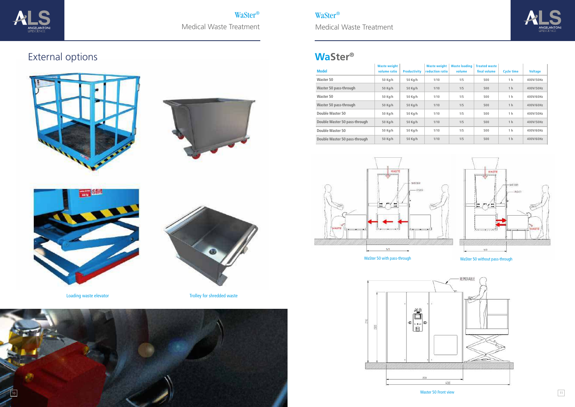

# External options









Loading waste elevator **Trolley** for shredded waste



WaSter® Medical Waste Treatment WaSter®

Medical Waste Treatment

## **WaSter®**

WaSter 50 with pass-through







WaSter 50 without pass-through

| <b>Model</b>                  | <b>Waste weight</b><br>volume ratio | <b>Productivity</b> | <b>Waste weight</b><br><b>reduction ratio</b> | <b>Waste loading</b><br>volume | <b>Treated waste</b><br>final volume | <b>Cycle time</b> | <b>Voltage</b> |
|-------------------------------|-------------------------------------|---------------------|-----------------------------------------------|--------------------------------|--------------------------------------|-------------------|----------------|
| Waster 50                     | 50 Kg/h                             | 50 Kg/h             | 1/10                                          | 1/5                            | 500                                  | 1 <sub>h</sub>    | 400V/50Hz      |
| Waster 50 pass-through        | 50 Kg/h                             | 50 Kg/h             | 1/10                                          | 1/5                            | 500                                  | 1 <sub>h</sub>    | 400V/50Hz      |
| Waster 50                     | 50 Kg/h                             | 50 Kg/h             | 1/10                                          | 1/5                            | 500                                  | 1 h               | 400V/60Hz      |
| Waster 50 pass-through        | 50 Kg/h                             | 50 Kg/h             | 1/10                                          | 1/5                            | 500                                  | 1 <sub>h</sub>    | 400V/60Hz      |
| Double Waster 50              | 50 Kg/h                             | 50 Kg/h             | 1/10                                          | 1/5                            | 500                                  | 1 <sub>h</sub>    | 400V/50Hz      |
| Double Waster 50 pass-through | 50 Kg/h                             | 50 Kg/h             | 1/10                                          | 1/5                            | 500                                  | 1 <sub>h</sub>    | 400V/50Hz      |
| Double Waster 50              | 50 Kg/h                             | 50 Kg/h             | 1/10                                          | 1/5                            | 500                                  | 1 <sub>h</sub>    | 400V/60Hz      |
| Double Waster 50 pass-through | 50 Kg/h                             | 50 Kg/h             | 1/10                                          | 1/5                            | 500                                  | 1 <sub>h</sub>    | 400V/60Hz      |



Waster 50 Front view